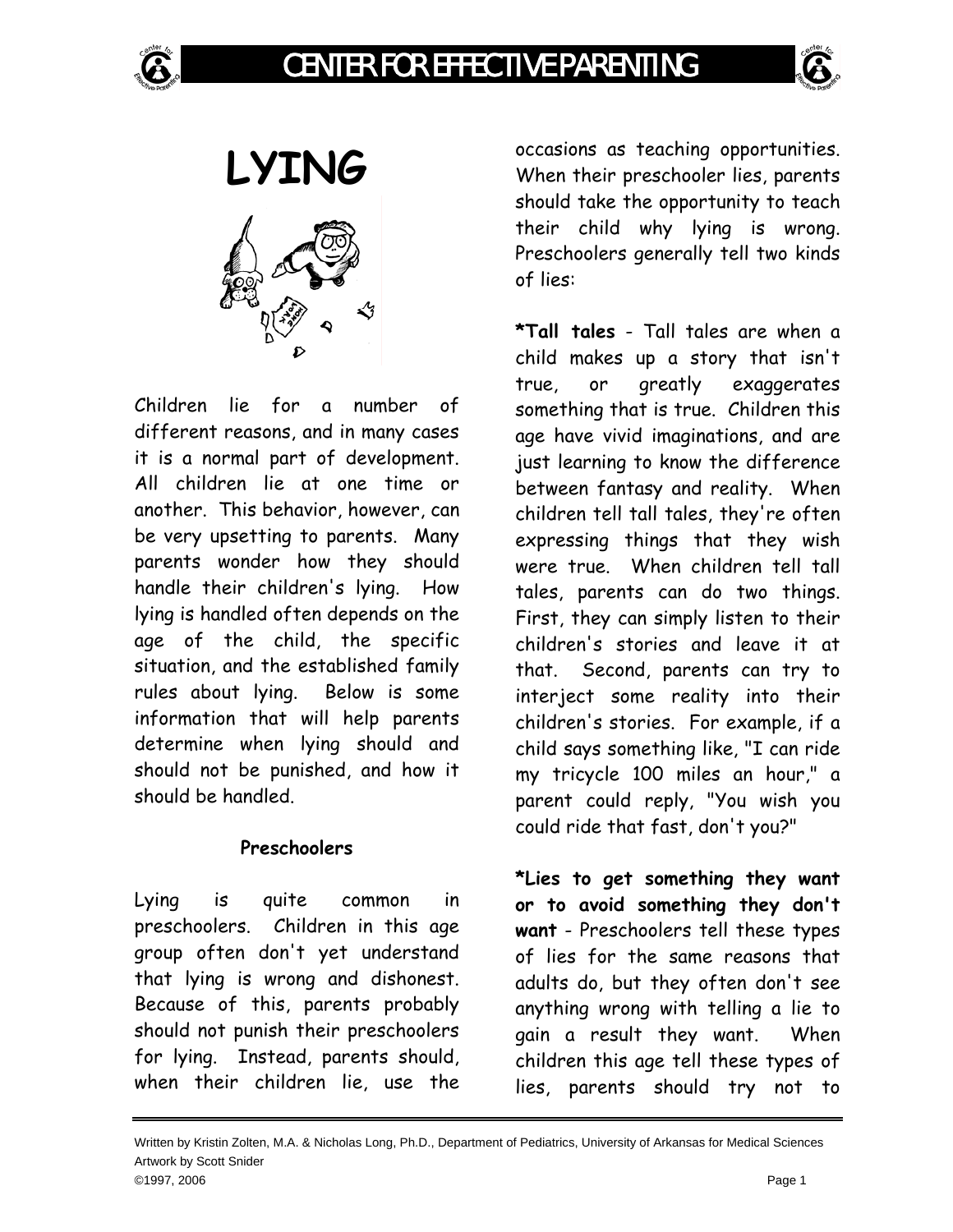



**LYING** 

Children lie for a number of different reasons, and in many cases it is a normal part of development. All children lie at one time or another. This behavior, however, can be very upsetting to parents. Many parents wonder how they should handle their children's lying. How lying is handled often depends on the age of the child, the specific situation, and the established family rules about lying. Below is some information that will help parents determine when lying should and should not be punished, and how it should be handled.

## **Preschoolers**

Lying is quite common in preschoolers. Children in this age group often don't yet understand that lying is wrong and dishonest. Because of this, parents probably should not punish their preschoolers for lying. Instead, parents should, when their children lie, use the

occasions as teaching opportunities. When their preschooler lies, parents should take the opportunity to teach their child why lying is wrong. Preschoolers generally tell two kinds of lies:

**\*Tall tales** - Tall tales are when a child makes up a story that isn't true, or greatly exaggerates something that is true. Children this age have vivid imaginations, and are just learning to know the difference between fantasy and reality. When children tell tall tales, they're often expressing things that they wish were true. When children tell tall tales, parents can do two things. First, they can simply listen to their children's stories and leave it at that. Second, parents can try to interject some reality into their children's stories. For example, if a child says something like, "I can ride my tricycle 100 miles an hour," a parent could reply, "You wish you could ride that fast, don't you?"

**\*Lies to get something they want or to avoid something they don't want** - Preschoolers tell these types of lies for the same reasons that adults do, but they often don't see anything wrong with telling a lie to gain a result they want. When children this age tell these types of lies, parents should try not to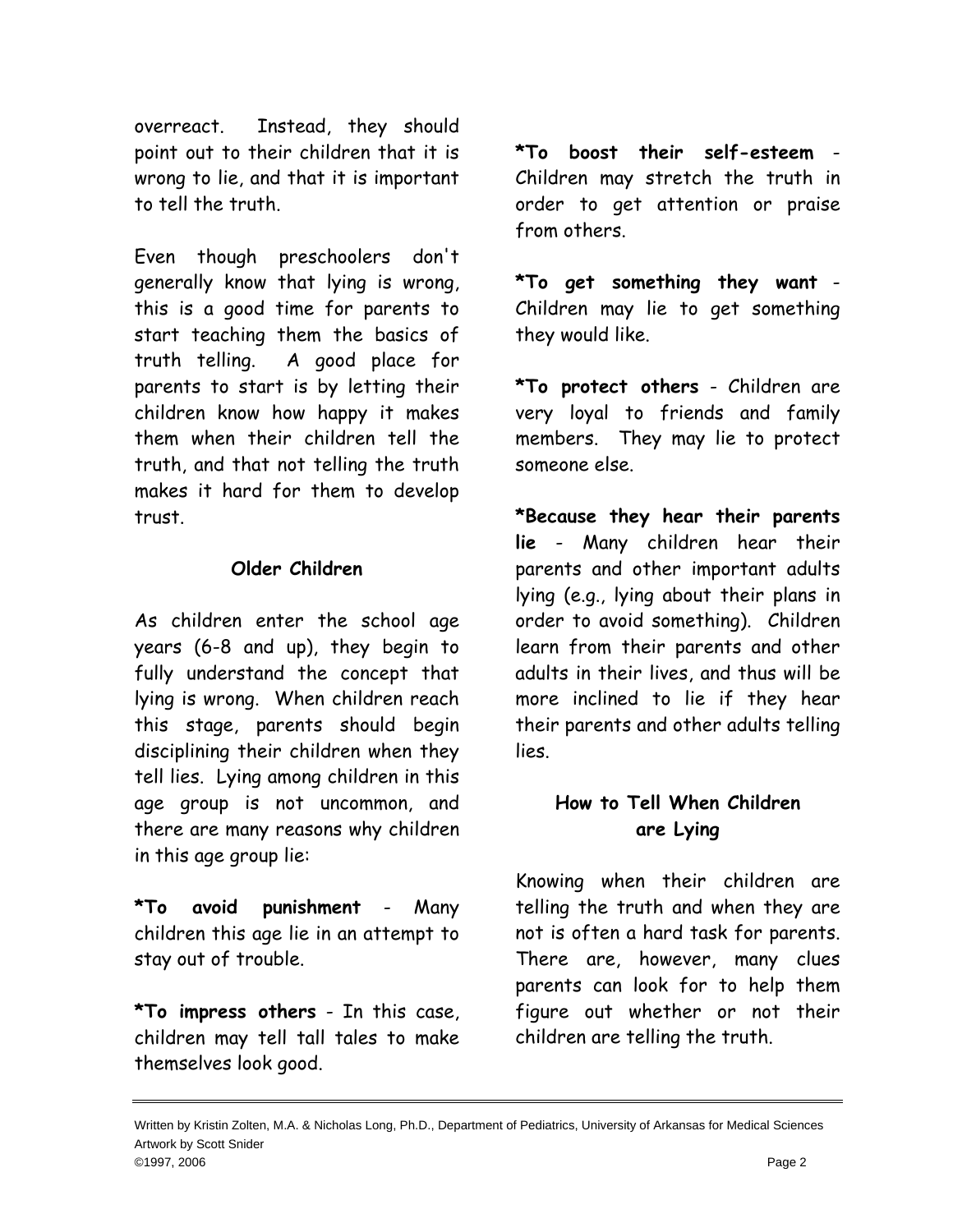overreact. Instead, they should point out to their children that it is wrong to lie, and that it is important to tell the truth.

Even though preschoolers don't generally know that lying is wrong, this is a good time for parents to start teaching them the basics of truth telling. A good place for parents to start is by letting their children know how happy it makes them when their children tell the truth, and that not telling the truth makes it hard for them to develop trust.

## **Older Children**

As children enter the school age years (6-8 and up), they begin to fully understand the concept that lying is wrong. When children reach this stage, parents should begin disciplining their children when they tell lies. Lying among children in this age group is not uncommon, and there are many reasons why children in this age group lie:

**\*To avoid punishment** - Many children this age lie in an attempt to stay out of trouble.

**\*To impress others** - In this case, children may tell tall tales to make themselves look good.

**\*To boost their self-esteem** - Children may stretch the truth in order to get attention or praise from others.

**\*To get something they want** - Children may lie to get something they would like.

**\*To protect others** - Children are very loyal to friends and family members. They may lie to protect someone else.

**\*Because they hear their parents lie** - Many children hear their parents and other important adults lying (e.g., lying about their plans in order to avoid something). Children learn from their parents and other adults in their lives, and thus will be more inclined to lie if they hear their parents and other adults telling lies.

## **How to Tell When Children are Lying**

Knowing when their children are telling the truth and when they are not is often a hard task for parents. There are, however, many clues parents can look for to help them figure out whether or not their children are telling the truth.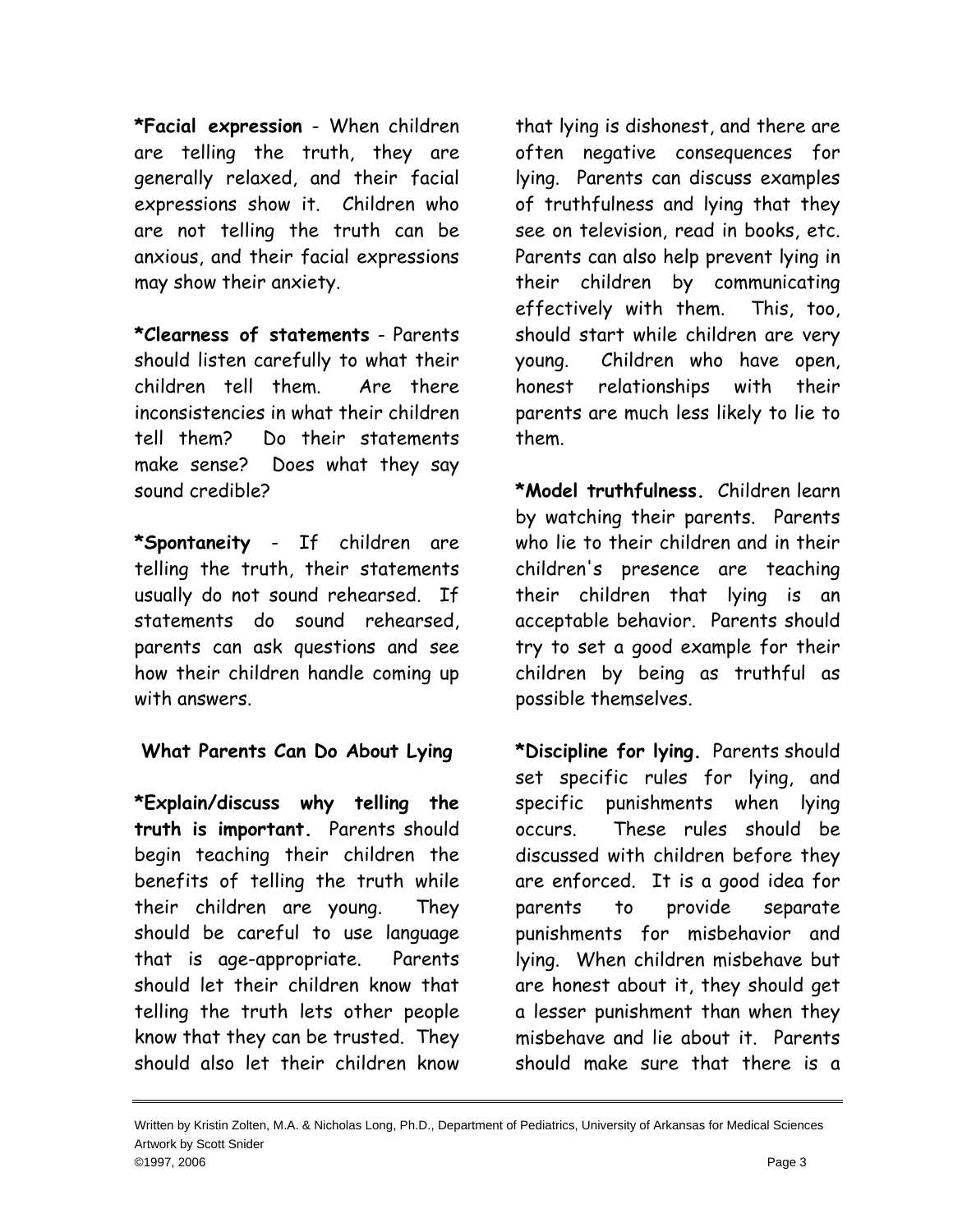**\*Facial expression** - When children are telling the truth, they are generally relaxed, and their facial expressions show it. Children who are not telling the truth can be anxious, and their facial expressions may show their anxiety.

**\*Clearness of statements** - Parents should listen carefully to what their children tell them. Are there inconsistencies in what their children tell them? Do their statements make sense? Does what they say sound credible?

**\*Spontaneity** - If children are telling the truth, their statements usually do not sound rehearsed. If statements do sound rehearsed, parents can ask questions and see how their children handle coming up with answers.

## **What Parents Can Do About Lying**

**\*Explain/discuss why telling the truth is important.** Parents should begin teaching their children the benefits of telling the truth while their children are young. They should be careful to use language that is age-appropriate. Parents should let their children know that telling the truth lets other people know that they can be trusted. They should also let their children know

that lying is dishonest, and there are often negative consequences for lying. Parents can discuss examples of truthfulness and lying that they see on television, read in books, etc. Parents can also help prevent lying in their children by communicating effectively with them. This, too, should start while children are very young. Children who have open, honest relationships with their parents are much less likely to lie to them.

**\*Model truthfulness.** Children learn by watching their parents. Parents who lie to their children and in their children's presence are teaching their children that lying is an acceptable behavior. Parents should try to set a good example for their children by being as truthful as possible themselves.

**\*Discipline for lying.** Parents should set specific rules for lying, and specific punishments when lying occurs. These rules should be discussed with children before they are enforced. It is a good idea for parents to provide separate punishments for misbehavior and lying. When children misbehave but are honest about it, they should get a lesser punishment than when they misbehave and lie about it. Parents should make sure that there is a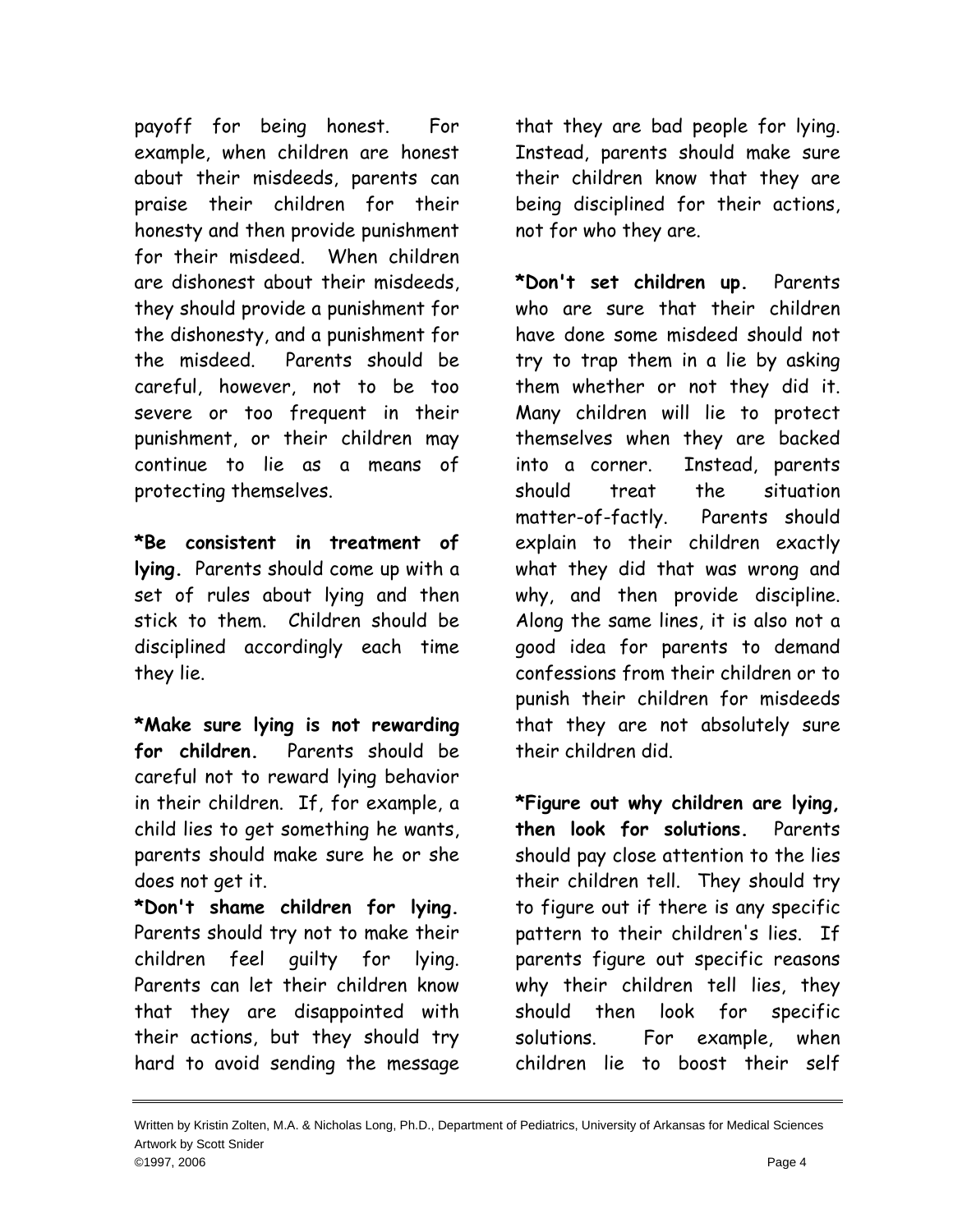payoff for being honest. For example, when children are honest about their misdeeds, parents can praise their children for their honesty and then provide punishment for their misdeed. When children are dishonest about their misdeeds, they should provide a punishment for the dishonesty, and a punishment for the misdeed. Parents should be careful, however, not to be too severe or too frequent in their punishment, or their children may continue to lie as a means of protecting themselves.

**\*Be consistent in treatment of lying.** Parents should come up with a set of rules about lying and then stick to them. Children should be disciplined accordingly each time they lie.

**\*Make sure lying is not rewarding for children.** Parents should be careful not to reward lying behavior in their children. If, for example, a child lies to get something he wants, parents should make sure he or she does not get it.

**\*Don't shame children for lying.** Parents should try not to make their children feel guilty for lying. Parents can let their children know that they are disappointed with their actions, but they should try hard to avoid sending the message that they are bad people for lying. Instead, parents should make sure their children know that they are being disciplined for their actions, not for who they are.

**\*Don't set children up.** Parents who are sure that their children have done some misdeed should not try to trap them in a lie by asking them whether or not they did it. Many children will lie to protect themselves when they are backed into a corner. Instead, parents should treat the situation matter-of-factly. Parents should explain to their children exactly what they did that was wrong and why, and then provide discipline. Along the same lines, it is also not a good idea for parents to demand confessions from their children or to punish their children for misdeeds that they are not absolutely sure their children did.

**\*Figure out why children are lying, then look for solutions.** Parents should pay close attention to the lies their children tell. They should try to figure out if there is any specific pattern to their children's lies. If parents figure out specific reasons why their children tell lies, they should then look for specific solutions. For example, when children lie to boost their self